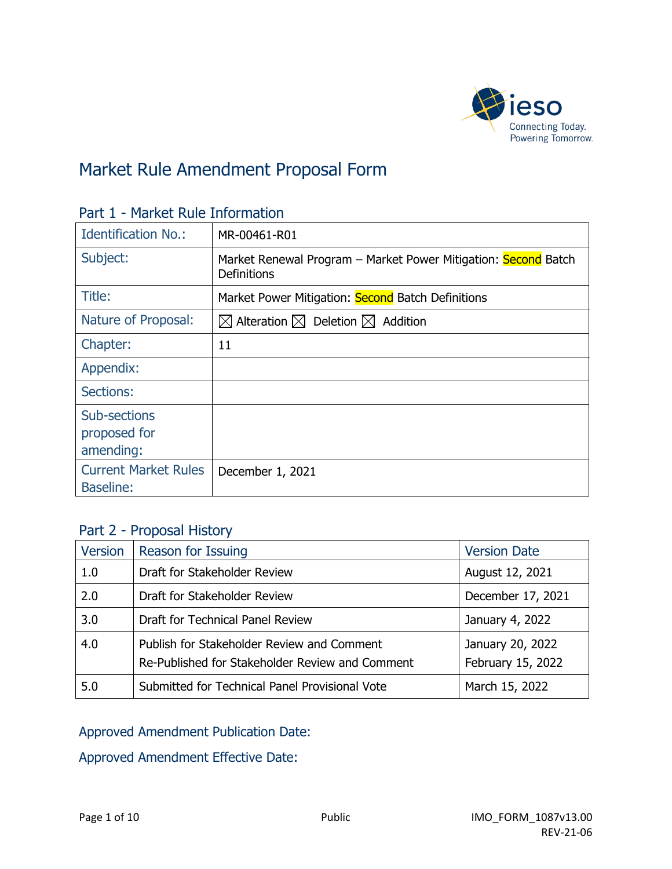

# Market Rule Amendment Proposal Form

| <b>Identification No.:</b>                      | MR-00461-R01                                                                  |  |
|-------------------------------------------------|-------------------------------------------------------------------------------|--|
| Subject:                                        | Market Renewal Program – Market Power Mitigation: Second Batch<br>Definitions |  |
| Title:                                          | Market Power Mitigation: Second Batch Definitions                             |  |
| Nature of Proposal:                             | $\boxtimes$ Alteration $\boxtimes$ Deletion $\boxtimes$ Addition              |  |
| Chapter:                                        | 11                                                                            |  |
| Appendix:                                       |                                                                               |  |
| Sections:                                       |                                                                               |  |
| Sub-sections<br>proposed for<br>amending:       |                                                                               |  |
| <b>Current Market Rules</b><br><b>Baseline:</b> | December 1, 2021                                                              |  |

### Part 1 - Market Rule Information

# Part 2 - Proposal History

| Version | Reason for Issuing                                                                            | <b>Version Date</b>                   |
|---------|-----------------------------------------------------------------------------------------------|---------------------------------------|
| 1.0     | Draft for Stakeholder Review                                                                  | August 12, 2021                       |
| 2.0     | Draft for Stakeholder Review                                                                  | December 17, 2021                     |
| 3.0     | Draft for Technical Panel Review                                                              | January 4, 2022                       |
| 4.0     | Publish for Stakeholder Review and Comment<br>Re-Published for Stakeholder Review and Comment | January 20, 2022<br>February 15, 2022 |
| 5.0     | Submitted for Technical Panel Provisional Vote                                                | March 15, 2022                        |

# Approved Amendment Publication Date:

Approved Amendment Effective Date: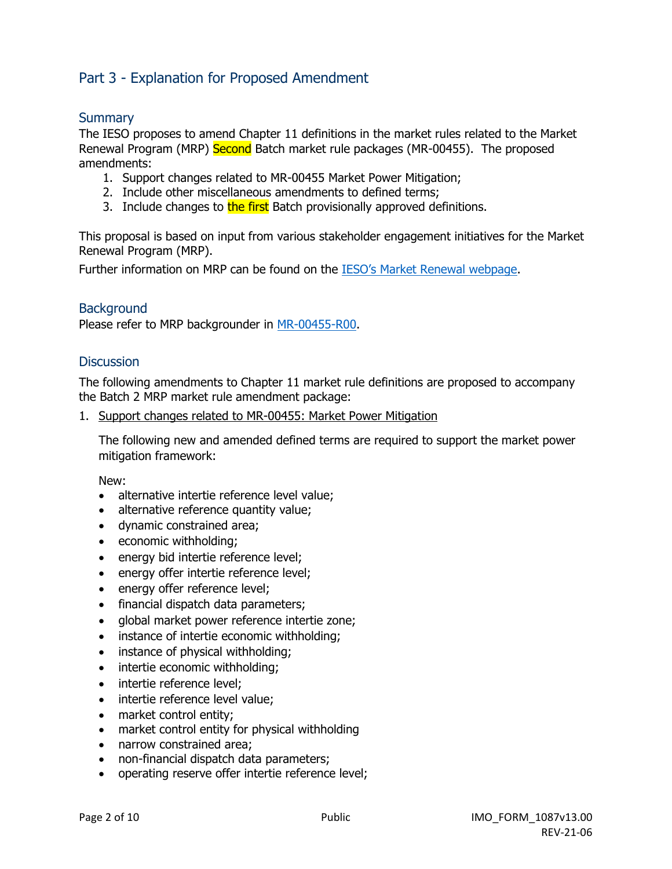# Part 3 - Explanation for Proposed Amendment

### **Summary**

The IESO proposes to amend Chapter 11 definitions in the market rules related to the Market Renewal Program (MRP) Second Batch market rule packages (MR-00455). The proposed amendments:

- 1. Support changes related to MR-00455 Market Power Mitigation;
- 2. Include other miscellaneous amendments to defined terms;
- 3. Include changes to the first Batch provisionally approved definitions.

This proposal is based on input from various stakeholder engagement initiatives for the Market Renewal Program (MRP).

Further information on MRP can be found on the [IESO's Market Renewal webpage.](http://www.ieso.ca/Market-Renewal)

### **Background**

Please refer to MRP backgrounder in [MR-00455-R00.](https://www.ieso.ca/-/media/Files/IESO/Document-Library/tp/2021/iesotp-20210422-MR_00450_R00-MRP-Participant-Authorization.ashx)

### **Discussion**

The following amendments to Chapter 11 market rule definitions are proposed to accompany the Batch 2 MRP market rule amendment package:

1. Support changes related to MR-00455: Market Power Mitigation

The following new and amended defined terms are required to support the market power mitigation framework:

New:

- alternative intertie reference level value;
- alternative reference quantity value;
- dynamic constrained area;
- economic withholding;
- energy bid intertie reference level;
- energy offer intertie reference level;
- energy offer reference level;
- financial dispatch data parameters;
- global market power reference intertie zone;
- instance of intertie economic withholding;
- instance of physical withholding;
- intertie economic withholding;
- intertie reference level;
- intertie reference level value;
- market control entity;
- market control entity for physical withholding
- narrow constrained area;
- non-financial dispatch data parameters;
- operating reserve offer intertie reference level;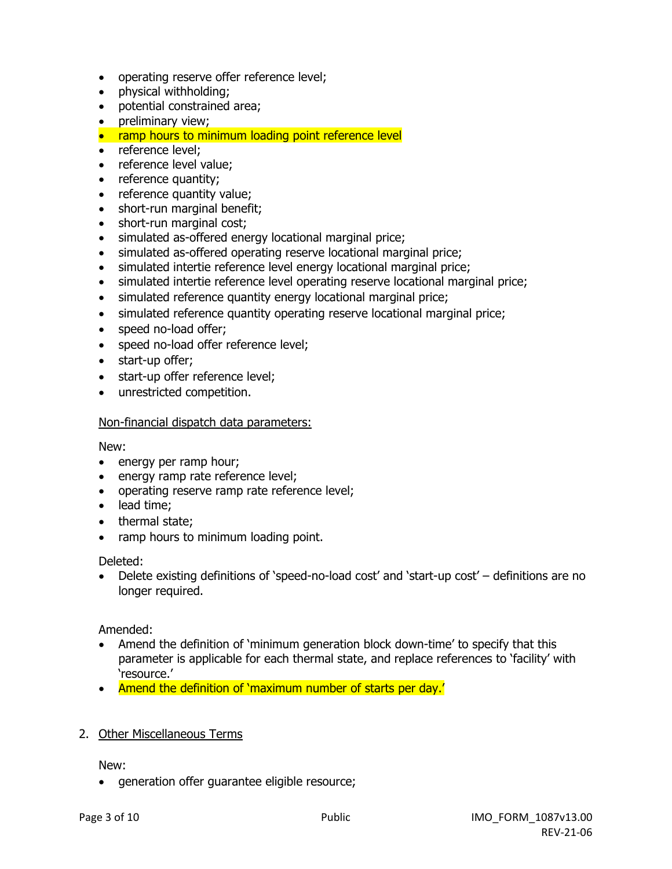- operating reserve offer reference level;
- physical withholding;
- potential constrained area;
- preliminary view;
- ramp hours to minimum loading point reference level
- reference level;
- reference level value:
- reference quantity;
- reference quantity value;
- short-run marginal benefit;
- short-run marginal cost;
- simulated as-offered energy locational marginal price;
- simulated as-offered operating reserve locational marginal price;
- simulated intertie reference level energy locational marginal price;
- simulated intertie reference level operating reserve locational marginal price;
- simulated reference quantity energy locational marginal price;
- simulated reference quantity operating reserve locational marginal price;
- speed no-load offer;
- speed no-load offer reference level;
- start-up offer;
- start-up offer reference level;
- unrestricted competition.

### Non-financial dispatch data parameters:

New:

- energy per ramp hour;
- energy ramp rate reference level;
- operating reserve ramp rate reference level;
- lead time;
- thermal state;
- ramp hours to minimum loading point.

Deleted:

• Delete existing definitions of 'speed-no-load cost' and 'start-up cost' – definitions are no longer required.

Amended:

- Amend the definition of 'minimum generation block down-time' to specify that this parameter is applicable for each thermal state, and replace references to 'facility' with 'resource.'
- Amend the definition of 'maximum number of starts per day.'
- 2. Other Miscellaneous Terms

New:

• generation offer guarantee eligible resource;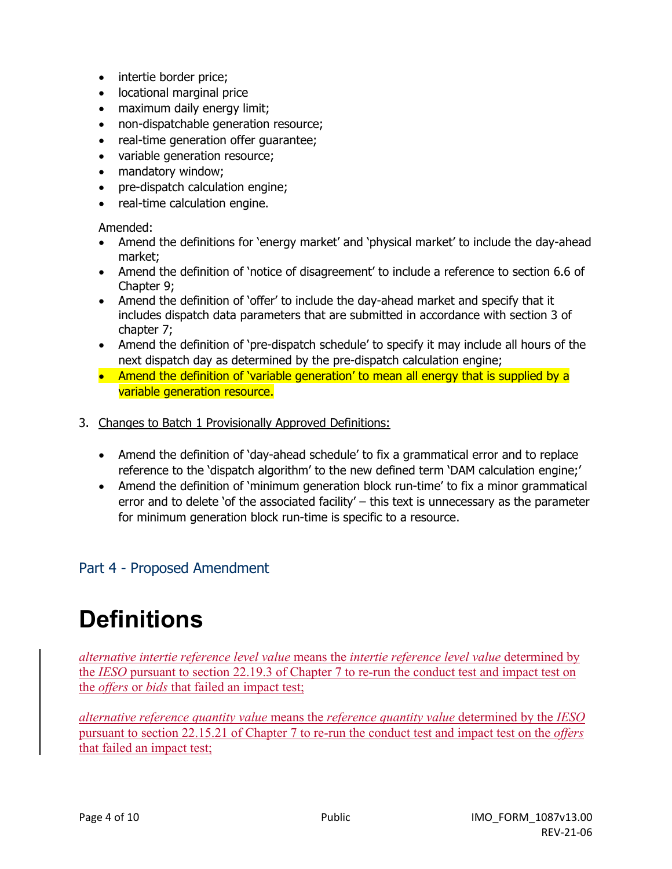- intertie border price;
- locational marginal price
- maximum daily energy limit;
- non-dispatchable generation resource;
- real-time generation offer guarantee;
- variable generation resource;
- mandatory window;
- pre-dispatch calculation engine;
- real-time calculation engine.

Amended:

- Amend the definitions for 'energy market' and 'physical market' to include the day-ahead market;
- Amend the definition of 'notice of disagreement' to include a reference to section 6.6 of Chapter 9;
- Amend the definition of 'offer' to include the day-ahead market and specify that it includes dispatch data parameters that are submitted in accordance with section 3 of chapter 7;
- Amend the definition of 'pre-dispatch schedule' to specify it may include all hours of the next dispatch day as determined by the pre-dispatch calculation engine;
- Amend the definition of 'variable generation' to mean all energy that is supplied by a variable generation resource.
- 3. Changes to Batch 1 Provisionally Approved Definitions:
	- Amend the definition of 'day-ahead schedule' to fix a grammatical error and to replace reference to the 'dispatch algorithm' to the new defined term 'DAM calculation engine;'
	- Amend the definition of 'minimum generation block run-time' to fix a minor grammatical error and to delete 'of the associated facility' – this text is unnecessary as the parameter for minimum generation block run-time is specific to a resource.

# Part 4 - Proposed Amendment

# **Definitions**

*alternative intertie reference level value* means the *intertie reference level value* determined by the *IESO* pursuant to section 22.19.3 of Chapter 7 to re-run the conduct test and impact test on the *offers* or *bids* that failed an impact test;

*alternative reference quantity value* means the *reference quantity value* determined by the *IESO* pursuant to section 22.15.21 of Chapter 7 to re-run the conduct test and impact test on the *offers* that failed an impact test;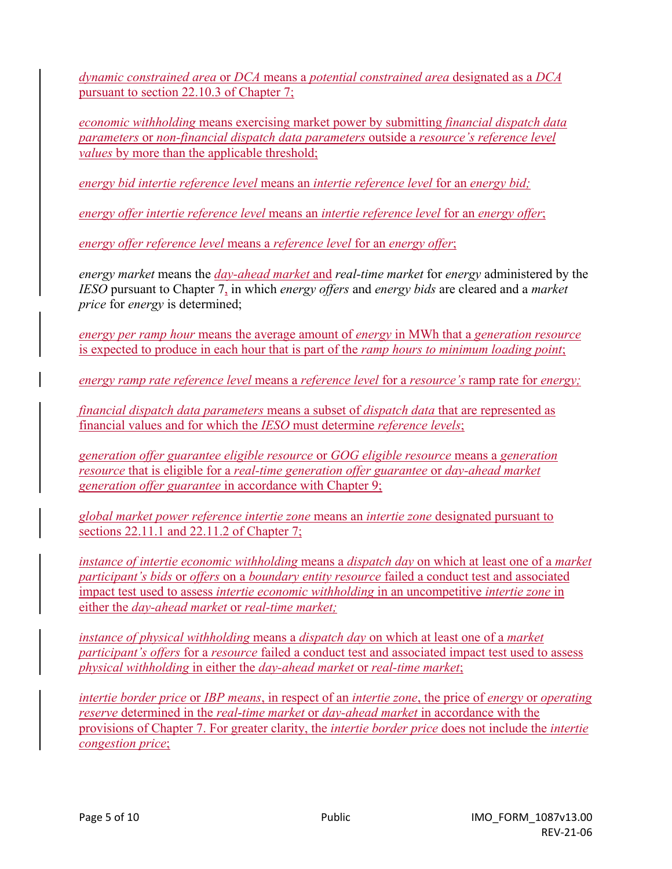*dynamic constrained area* or *DCA* means a *potential constrained area* designated as a *DCA*  pursuant to section 22.10.3 of Chapter 7;

*economic withholding* means exercising market power by submitting *financial dispatch data parameters* or *non-financial dispatch data parameters* outside a *resource's reference level values* by more than the applicable threshold:

*energy bid intertie reference level* means an *intertie reference level* for an *energy bid;*

*energy offer intertie reference level* means an *intertie reference level* for an *energy offer*;

*energy offer reference level* means a *reference level* for an *energy offer*;

*energy market* means the *day-ahead market* and *real-time market* for *energy* administered by the *IESO* pursuant to Chapter 7, in which *energy offers* and *energy bids* are cleared and a *market price* for *energy* is determined;

*energy per ramp hour* means the average amount of *energy* in MWh that a *generation resource* is expected to produce in each hour that is part of the *ramp hours to minimum loading point*;

*energy ramp rate reference level* means a *reference level* for a *resource's* ramp rate for *energy;*

*financial dispatch data parameters* means a subset of *dispatch data* that are represented as financial values and for which the *IESO* must determine *reference levels*;

*generation offer guarantee eligible resource* or *GOG eligible resource* means a *generation resource* that is eligible for a *real-time generation offer guarantee* or *day-ahead market generation offer guarantee* in accordance with Chapter 9;

*global market power reference intertie zone* means an *intertie zone* designated pursuant to sections 22.11.1 and 22.11.2 of Chapter 7;

*instance of intertie economic withholding* means a *dispatch day* on which at least one of a *market participant's bids* or *offers* on a *boundary entity resource* failed a conduct test and associated impact test used to assess *intertie economic withholding* in an uncompetitive *intertie zone* in either the *day-ahead market* or *real-time market;* 

*instance of physical withholding* means a *dispatch day* on which at least one of a *market participant's offers* for a *resource* failed a conduct test and associated impact test used to assess *physical withholding* in either the *day-ahead market* or *real-time market*;

*intertie border price* or *IBP means*, in respect of an *intertie zone*, the price of *energy* or *operating reserve* determined in the *real*-*time market* or *day-ahead market* in accordance with the provisions of Chapter 7. For greater clarity, the *intertie border price* does not include the *intertie congestion price*;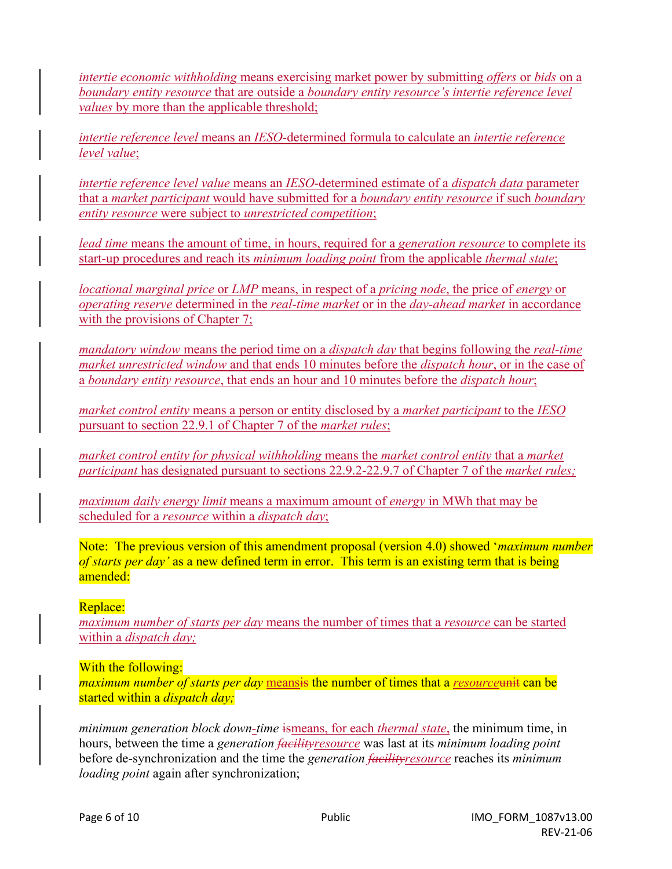*intertie economic withholding* means exercising market power by submitting *offers* or *bids* on a *boundary entity resource* that are outside a *boundary entity resource's intertie reference level values* by more than the applicable threshold;

*intertie reference level* means an *IESO*-determined formula to calculate an *intertie reference level value*;

*intertie reference level value* means an *IESO*-determined estimate of a *dispatch data* parameter that a *market participant* would have submitted for a *boundary entity resource* if such *boundary entity resource* were subject to *unrestricted competition*;

*lead time* means the amount of time, in hours, required for a *generation resource* to complete its start-up procedures and reach its *minimum loading point* from the applicable *thermal state*;

*locational marginal price* or *LMP* means, in respect of a *pricing node*, the price of *energy* or *operating reserve* determined in the *real*-*time market* or in the *day-ahead market* in accordance with the provisions of Chapter 7;

*mandatory window* means the period time on a *dispatch day* that begins following the *real-time market unrestricted window* and that ends 10 minutes before the *dispatch hour*, or in the case of a *boundary entity resource*, that ends an hour and 10 minutes before the *dispatch hour*;

*market control entity* means a person or entity disclosed by a *market participant* to the *IESO* pursuant to section 22.9.1 of Chapter 7 of the *market rules*;

*market control entity for physical withholding* means the *market control entity* that a *market participant* has designated pursuant to sections 22.9.2-22.9.7 of Chapter 7 of the *market rules;* 

*maximum daily energy limit* means a maximum amount of *energy* in MWh that may be scheduled for a *resource* within a *dispatch day*;

Note: The previous version of this amendment proposal (version 4.0) showed '*maximum number of starts per day'* as a new defined term in error. This term is an existing term that is being amended:

### Replace:

*maximum number of starts per day* means the number of times that a *resource* can be started within a *dispatch day;*

### With the following:

*maximum number of starts per day* meansis the number of times that a *resource*unit can be started within a *dispatch day;*

*minimum generation block down-time* ismeans, for each *thermal state*, the minimum time, in hours, between the time a *generation facilityresource* was last at its *minimum loading point* before de-synchronization and the time the *generation facilityresource* reaches its *minimum loading point* again after synchronization;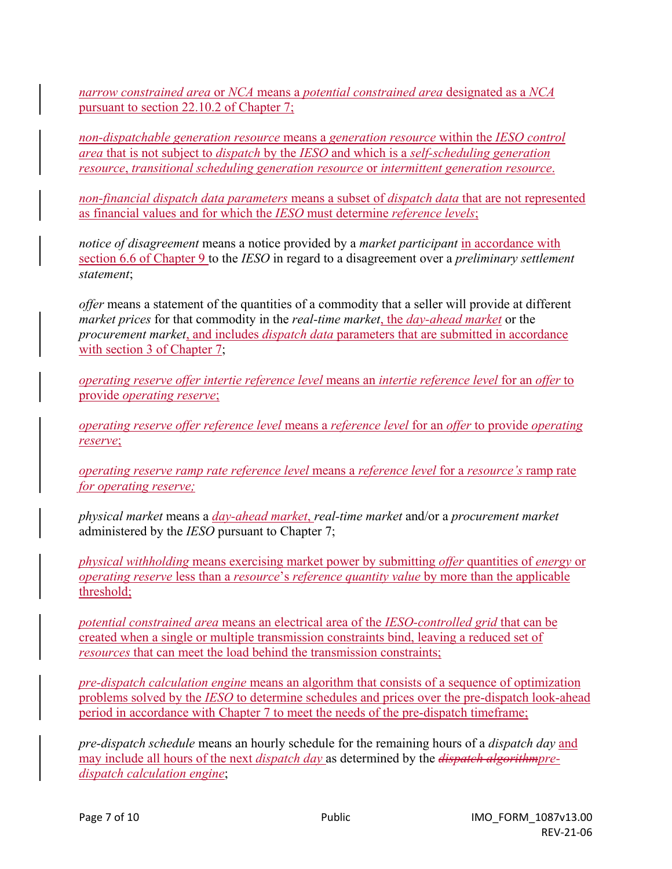*narrow constrained area* or *NCA* means a *potential constrained area* designated as a *NCA*  pursuant to section 22.10.2 of Chapter 7;

*non-dispatchable generation resource* means a *generation resource* within the *IESO control area* that is not subject to *dispatch* by the *IESO* and which is a *self-scheduling generation resource*, *transitional scheduling generation resource* or *intermittent generation resource*.

*non-financial dispatch data parameters* means a subset of *dispatch data* that are not represented as financial values and for which the *IESO* must determine *reference levels*;

*notice of disagreement* means a notice provided by a *market participant* in accordance with section 6.6 of Chapter 9 to the *IESO* in regard to a disagreement over a *preliminary settlement statement*;

*offer* means a statement of the quantities of a commodity that a seller will provide at different *market prices* for that commodity in the *real-time market*, the *day-ahead market* or the *procurement market*, and includes *dispatch data* parameters that are submitted in accordance with section 3 of Chapter 7;

*operating reserve offer intertie reference level* means an *intertie reference level* for an *offer* to provide *operating reserve*;

*operating reserve offer reference level* means a *reference level* for an *offer* to provide *operating reserve*;

*operating reserve ramp rate reference level* means a *reference level* for a *resource's* ramp rate *for operating reserve;*

*physical market* means a *day-ahead market*, *real-time market* and/or a *procurement market* administered by the *IESO* pursuant to Chapter 7;

*physical withholding* means exercising market power by submitting *offer* quantities of *energy* or *operating reserve* less than a *resource*'s *reference quantity value* by more than the applicable threshold;

*potential constrained area* means an electrical area of the *IESO-controlled grid* that can be created when a single or multiple transmission constraints bind, leaving a reduced set of *resources* that can meet the load behind the transmission constraints;

*pre-dispatch calculation engine* means an algorithm that consists of a sequence of optimization problems solved by the *IESO* to determine schedules and prices over the pre-dispatch look-ahead period in accordance with Chapter 7 to meet the needs of the pre-dispatch timeframe;

*pre-dispatch schedule* means an hourly schedule for the remaining hours of a *dispatch day* and may include all hours of the next *dispatch day* as determined by the *dispatch algorithmpredispatch calculation engine*;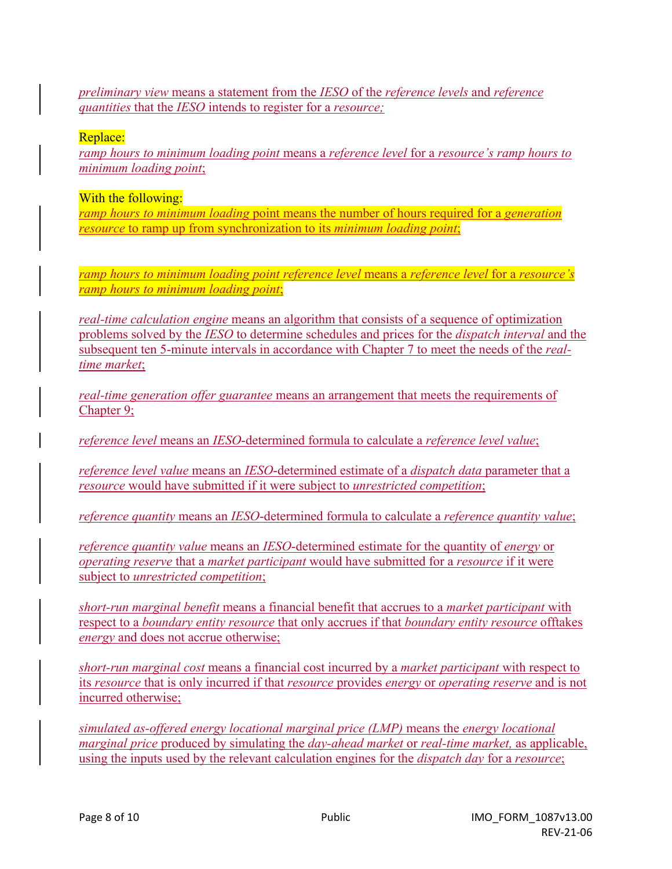*preliminary view* means a statement from the *IESO* of the *reference levels* and *reference quantities* that the *IESO* intends to register for a *resource;*

### Replace:

*ramp hours to minimum loading point* means a *reference level* for a *resource's ramp hours to minimum loading point*;

### With the following:

*ramp hours to minimum loading* point means the number of hours required for a *generation resource* to ramp up from synchronization to its *minimum loading point*;

*ramp hours to minimum loading point reference level* means a *reference level* for a *resource's ramp hours to minimum loading point*;

*real-time calculation engine* means an algorithm that consists of a sequence of optimization problems solved by the *IESO* to determine schedules and prices for the *dispatch interval* and the subsequent ten 5-minute intervals in accordance with Chapter 7 to meet the needs of the *realtime market*;

*real-time generation offer guarantee* means an arrangement that meets the requirements of Chapter 9;

*reference level* means an *IESO*-determined formula to calculate a *reference level value*;

*reference level value* means an *IESO*-determined estimate of a *dispatch data* parameter that a *resource* would have submitted if it were subject to *unrestricted competition*;

*reference quantity* means an *IESO*-determined formula to calculate a *reference quantity value*;

*reference quantity value* means an *IESO*-determined estimate for the quantity of *energy* or *operating reserve* that a *market participant* would have submitted for a *resource* if it were subject to *unrestricted competition*;

*short-run marginal benefit* means a financial benefit that accrues to a *market participant* with respect to a *boundary entity resource* that only accrues if that *boundary entity resource* offtakes *energy* and does not accrue otherwise;

*short-run marginal cost* means a financial cost incurred by a *market participant* with respect to its *resource* that is only incurred if that *resource* provides *energy* or *operating reserve* and is not incurred otherwise;

*simulated as-offered energy locational marginal price (LMP)* means the *energy locational marginal price* produced by simulating the *day-ahead market* or *real-time market,* as applicable, using the inputs used by the relevant calculation engines for the *dispatch day* for a *resource*;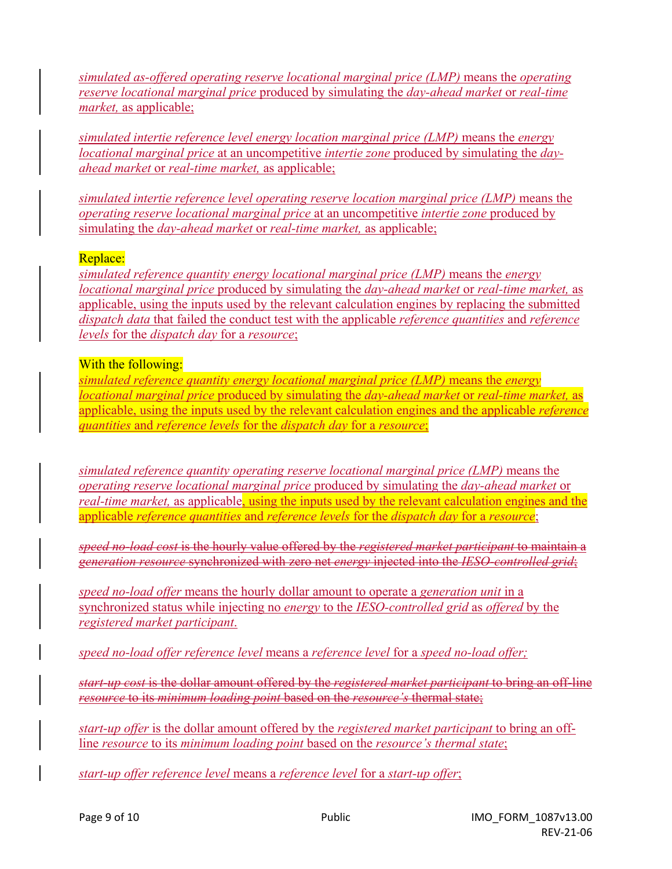*simulated as-offered operating reserve locational marginal price (LMP)* means the *operating reserve locational marginal price* produced by simulating the *day-ahead market* or *real-time market,* as applicable;

*simulated intertie reference level energy location marginal price (LMP)* means the *energy locational marginal price* at an uncompetitive *intertie zone* produced by simulating the *dayahead market* or *real-time market,* as applicable;

*simulated intertie reference level operating reserve location marginal price (LMP)* means the *operating reserve locational marginal price* at an uncompetitive *intertie zone* produced by simulating the *day-ahead market* or *real-time market,* as applicable;

### Replace:

*simulated reference quantity energy locational marginal price (LMP)* means the *energy locational marginal price* produced by simulating the *day-ahead market* or *real-time market,* as applicable, using the inputs used by the relevant calculation engines by replacing the submitted *dispatch data* that failed the conduct test with the applicable *reference quantities* and *reference levels* for the *dispatch day* for a *resource*;

### With the following:

*simulated reference quantity energy locational marginal price (LMP)* means the *energy locational marginal price* produced by simulating the *day-ahead market* or *real-time market,* as applicable, using the inputs used by the relevant calculation engines and the applicable *reference quantities* and *reference levels* for the *dispatch day* for a *resource*;

*simulated reference quantity operating reserve locational marginal price (LMP)* means the *operating reserve locational marginal price* produced by simulating the *day-ahead market* or *real-time market,* as applicable, using the inputs used by the relevant calculation engines and the applicable *reference quantities* and *reference levels* for the *dispatch day* for a *resource*;

*speed no-load cost* is the hourly value offered by the *registered market participant* to maintain a *generation resource* synchronized with zero net *energy* injected into the *IESO-controlled grid*;

*speed no-load offer* means the hourly dollar amount to operate a *generation unit* in a synchronized status while injecting no *energy* to the *IESO-controlled grid* as *offered* by the *registered market participant*.

*speed no-load offer reference level* means a *reference level* for a *speed no-load offer;* 

*start-up cost* is the dollar amount offered by the *registered market participant* to bring an off-line *resource* to its *minimum loading point* based on the *resource's* thermal state;

*start-up offer* is the dollar amount offered by the *registered market participant* to bring an offline *resource* to its *minimum loading point* based on the *resource's thermal state*;

*start-up offer reference level* means a *reference level* for a *start-up offer*;